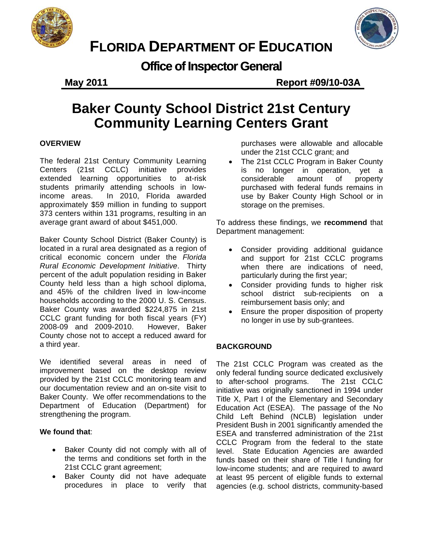



# **FLORIDA DEPARTMENT OF EDUCATION**

**Office of Inspector General** 

**May 2011 Report #09/10-03A**

## **Baker County School District 21st Century Community Learning Centers Grant**

### **OVERVIEW**

The federal 21st Century Community Learning Centers (21st CCLC) initiative provides extended learning opportunities to at-risk students primarily attending schools in lowincome areas. In 2010, Florida awarded approximately \$59 million in funding to support 373 centers within 131 programs, resulting in an average grant award of about \$451,000.

 located in a rural area designated as a region of households according to the 2000 U. S. Census. However, Baker Baker County School District (Baker County) is critical economic concern under the *Florida Rural Economic Development Initiative*. Thirty percent of the adult population residing in Baker County held less than a high school diploma, and 45% of the children lived in low-income Baker County was awarded \$224,875 in 21st CCLC grant funding for both fiscal years (FY) 2008-09 and 2009-2010. County chose not to accept a reduced award for a third year.

We identified several areas in need of improvement based on the desktop review provided by the 21st CCLC monitoring team and our documentation review and an on-site visit to Baker County. We offer recommendations to the Department of Education (Department) for strengthening the program.

### **We found that**:

- Baker County did not comply with all of the terms and conditions set forth in the 21st CCLC grant agreement;
- Baker County did not have adequate procedures in place to verify that

purchases were allowable and allocable under the 21st CCLC grant; and

 The 21st CCLC Program in Baker County is no longer in operation, yet a considerable amount of property purchased with federal funds remains in use by Baker County High School or in storage on the premises.

To address these findings, we **recommend** that Department management:

- Consider providing additional guidance and support for 21st CCLC programs when there are indications of need. particularly during the first year;
- Consider providing funds to higher risk school district sub-recipients on a reimbursement basis only; and
- Ensure the proper disposition of property no longer in use by sub-grantees.

### **BACKGROUND**

The 21st CCLC Program was created as the only federal funding source dedicated exclusively to after-school programs. The 21st CCLC initiative was originally sanctioned in 1994 under Title X, Part I of the Elementary and Secondary Education Act (ESEA). The passage of the No Child Left Behind (NCLB) legislation under President Bush in 2001 significantly amended the ESEA and transferred administration of the 21st CCLC Program from the federal to the state level. State Education Agencies are awarded funds based on their share of Title I funding for low-income students; and are required to award at least 95 percent of eligible funds to external agencies (e.g. school districts, community-based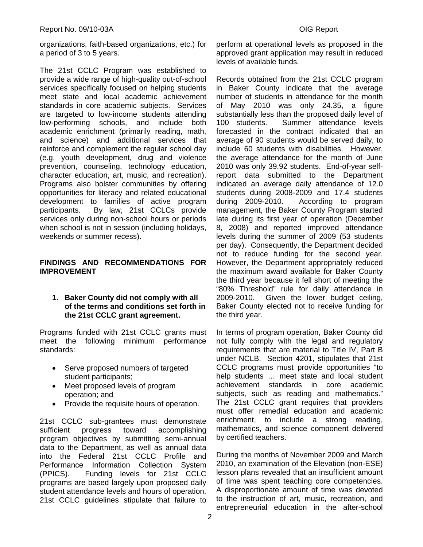organizations, faith-based organizations, etc.) for a period of 3 to 5 years.

The 21st CCLC Program was established to provide a wide range of high-quality out-of-school services specifically focused on helping students meet state and local academic achievement standards in core academic subjects. Services are targeted to low-income students attending low-performing schools, and include both academic enrichment (primarily reading, math, and science) and additional services that reinforce and complement the regular school day (e.g. youth development, drug and violence prevention, counseling, technology education, character education, art, music, and recreation). Programs also bolster communities by offering opportunities for literacy and related educational development to families of active program participants. By law, 21st CCLCs provide services only during non-school hours or periods when school is not in session (including holidays, weekends or summer recess).

### **FINDINGS AND RECOMMENDATIONS FOR IMPROVEMENT**

### **1. Baker County did not comply with all of the terms and conditions set forth in the 21st CCLC grant agreement.**

Programs funded with 21st CCLC grants must meet the following minimum performance standards:

- Serve proposed numbers of targeted student participants;
- Meet proposed levels of program operation; and
- Provide the requisite hours of operation.

21st CCLC sub-grantees must demonstrate sufficient progress toward accomplishing program objectives by submitting semi-annual data to the Department, as well as annual data into the Federal 21st CCLC Profile and Performance Information Collection System (PPICS). Funding levels for 21st CCLC programs are based largely upon proposed daily student attendance levels and hours of operation. 21st CCLC guidelines stipulate that failure to levels of available funds. perform at operational levels as proposed in the approved grant application may result in reduced

not to reduce funding for the second year. Records obtained from the 21st CCLC program in Baker County indicate that the average number of students in attendance for the month of May 2010 was only 24.35, a figure substantially less than the proposed daily level of 100 students. Summer attendance levels forecasted in the contract indicated that an average of 90 students would be served daily, to include 60 students with disabilities. However, the average attendance for the month of June 2010 was only 39.92 students. End-of-year selfreport data submitted to the Department indicated an average daily attendance of 12.0 students during 2008-2009 and 17.4 students during 2009-2010. According to program management, the Baker County Program started late during its first year of operation (December 8, 2008) and reported improved attendance levels during the summer of 2009 (53 students per day). Consequently, the Department decided However, the Department appropriately reduced. the maximum award available for Baker County the third year because it fell short of meeting the "80% Threshold" rule for daily attendance in 2009-2010. Given the lower budget ceiling, Baker County elected not to receive funding for the third year.

subjects, such as reading and mathematics." In terms of program operation, Baker County did not fully comply with the legal and regulatory requirements that are material to Title IV, Part B under NCLB. Section 4201, stipulates that 21st CCLC programs must provide opportunities "to help students … meet state and local student achievement standards in core academic The 21st CCLC grant requires that providers must offer remedial education and academic enrichment, to include a strong reading, mathematics, and science component delivered by certified teachers.

During the months of November 2009 and March 2010, an examination of the Elevation (non-ESE) lesson plans revealed that an insufficient amount of time was spent teaching core competencies. A disproportionate amount of time was devoted to the instruction of art, music, recreation, and entrepreneurial education in the after-school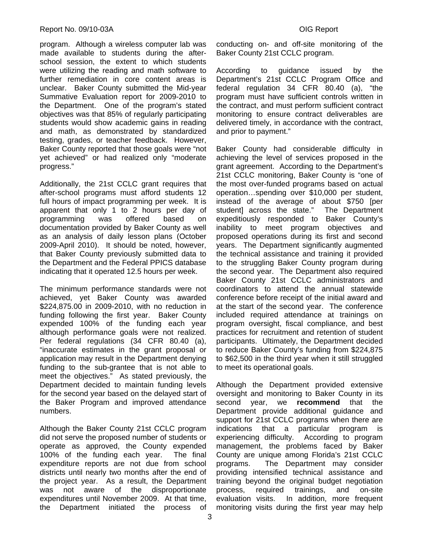### Report No. 09/10-03A **OIG Report**

program. Although a wireless computer lab was made available to students during the afterschool session, the extent to which students were utilizing the reading and math software to further remediation in core content areas is unclear. Baker County submitted the Mid-year Summative Evaluation report for 2009-2010 to the Department. One of the program's stated objectives was that 85% of regularly participating students would show academic gains in reading and math, as demonstrated by standardized testing, grades, or teacher feedback. However, Baker County reported that those goals were "not yet achieved" or had realized only "moderate progress."

Additionally, the 21st CCLC grant requires that after-school programs must afford students 12 full hours of impact programming per week. It is apparent that only 1 to 2 hours per day of programming was offered based on documentation provided by Baker County as well as an analysis of daily lesson plans (October 2009-April 2010). It should be noted, however, that Baker County previously submitted data to the Department and the Federal PPICS database indicating that it operated 12.5 hours per week.

although performance goals were not realized. The minimum performance standards were not achieved, yet Baker County was awarded \$224,875.00 in 2009-2010, with no reduction in funding following the first year. Baker County expended 100% of the funding each year Per federal regulations (34 CFR 80.40 (a), "inaccurate estimates in the grant proposal or application may result in the Department denying funding to the sub-grantee that is not able to meet the objectives." As stated previously, the Department decided to maintain funding levels for the second year based on the delayed start of the Baker Program and improved attendance numbers.

Although the Baker County 21st CCLC program did not serve the proposed number of students or operate as approved, the County expended 100% of the funding each year. The final expenditure reports are not due from school districts until nearly two months after the end of the project year. As a result, the Department was not aware of the disproportionate expenditures until November 2009. At that time, the Department initiated the process of

conducting on- and off-site monitoring of the Baker County 21st CCLC program.

According to guidance issued by the Department's 21st CCLC Program Office and federal regulation 34 CFR 80.40 (a), "the program must have sufficient controls written in the contract, and must perform sufficient contract monitoring to ensure contract deliverables are delivered timely, in accordance with the contract, and prior to payment."

Baker County had considerable difficulty in achieving the level of services proposed in the grant agreement. According to the Department's 21st CCLC monitoring, Baker County is "one of the most over-funded programs based on actual operation…spending over \$10,000 per student, instead of the average of about \$750 [per student] across the state." The Department expeditiously responded to Baker County's inability to meet program objectives and proposed operations during its first and second years. The Department significantly augmented the technical assistance and training it provided to the struggling Baker County program during the second year. The Department also required Baker County 21st CCLC administrators and coordinators to attend the annual statewide conference before receipt of the initial award and at the start of the second year. The conference included required attendance at trainings on program oversight, fiscal compliance, and best practices for recruitment and retention of student participants. Ultimately, the Department decided to reduce Baker County's funding from \$224,875 to \$62,500 in the third year when it still struggled to meet its operational goals.

Although the Department provided extensive oversight and monitoring to Baker County in its second year, we **recommend** that the Department provide additional guidance and support for 21st CCLC programs when there are indications that a particular program is experiencing difficulty. According to program management, the problems faced by Baker County are unique among Florida's 21st CCLC programs. The Department may consider providing intensified technical assistance and training beyond the original budget negotiation process, required trainings, and on-site evaluation visits. In addition, more frequent monitoring visits during the first year may help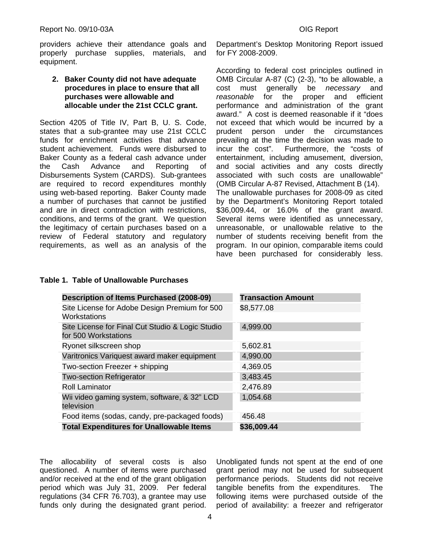providers achieve their attendance goals and properly purchase supplies, materials, and equipment.

### **2. Baker County did not have adequate procedures in place to ensure that all purchases were allowable and allocable under the 21st CCLC grant.**

Section 4205 of Title IV, Part B, U. S. Code, states that a sub-grantee may use 21st CCLC funds for enrichment activities that advance student achievement. Funds were disbursed to Baker County as a federal cash advance under the Cash Advance and Reporting of Disbursements System (CARDS). Sub-grantees are required to record expenditures monthly using web-based reporting. Baker County made a number of purchases that cannot be justified and are in direct contradiction with restrictions, conditions, and terms of the grant. We question the legitimacy of certain purchases based on a review of Federal statutory and regulatory requirements, as well as an analysis of the

Department's Desktop Monitoring Report issued for FY 2008-2009.

(OMB Circular A-87 Revised, Attachment B (14). According to federal cost principles outlined in OMB Circular A-87 (C) (2-3), "to be allowable, a cost must generally be *necessary* and *reasonable* for the proper and efficient performance and administration of the grant award." A cost is deemed reasonable if it "does not exceed that which would be incurred by a prudent person under the circumstances prevailing at the time the decision was made to incur the cost". Furthermore, the "costs of entertainment, including amusement, diversion, and social activities and any costs directly associated with such costs are unallowable" The unallowable purchases for 2008-09 as cited by the Department's Monitoring Report totaled \$36,009.44, or 16.0% of the grant award. Several items were identified as unnecessary, unreasonable, or unallowable relative to the number of students receiving benefit from the program. In our opinion, comparable items could have been purchased for considerably less.

| <b>Description of Items Purchased (2008-09)</b>                          | <b>Transaction Amount</b> |
|--------------------------------------------------------------------------|---------------------------|
| Site License for Adobe Design Premium for 500<br>Workstations            | \$8,577.08                |
| Site License for Final Cut Studio & Logic Studio<br>for 500 Workstations | 4,999.00                  |
| Ryonet silkscreen shop                                                   | 5,602.81                  |
| Varitronics Variquest award maker equipment                              | 4,990.00                  |
| Two-section Freezer + shipping                                           | 4,369.05                  |
| <b>Two-section Refrigerator</b>                                          | 3,483.45                  |
| <b>Roll Laminator</b>                                                    | 2,476.89                  |
| Wii video gaming system, software, & 32" LCD<br>television               | 1,054.68                  |
| Food items (sodas, candy, pre-packaged foods)                            | 456.48                    |
| <b>Total Expenditures for Unallowable Items</b>                          | \$36,009.44               |

### **Table 1. Table of Unallowable Purchases**

The allocability of several costs is also questioned. A number of items were purchased and/or received at the end of the grant obligation period which was July 31, 2009. Per federal regulations (34 CFR 76.703), a grantee may use funds only during the designated grant period.

Unobligated funds not spent at the end of one grant period may not be used for subsequent performance periods. Students did not receive tangible benefits from the expenditures. The following items were purchased outside of the period of availability: a freezer and refrigerator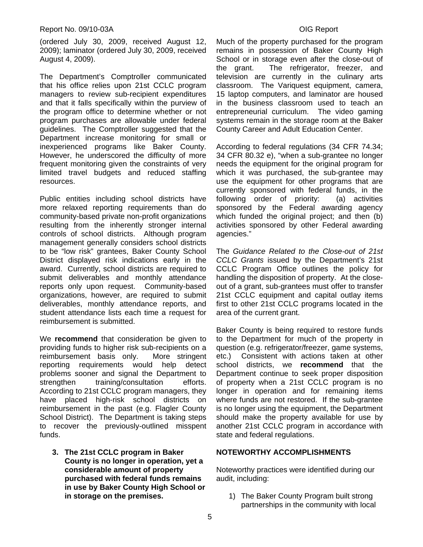### Report No. 09/10-03A **OIG Report**

(ordered July 30, 2009, received August 12, 2009); laminator (ordered July 30, 2009, received August 4, 2009).

inexperienced programs like Baker County. The Department's Comptroller communicated that his office relies upon 21st CCLC program managers to review sub-recipient expenditures and that it falls specifically within the purview of the program office to determine whether or not program purchases are allowable under federal guidelines. The Comptroller suggested that the Department increase monitoring for small or However, he underscored the difficulty of more frequent monitoring given the constraints of very limited travel budgets and reduced staffing resources.

Public entities including school districts have more relaxed reporting requirements than do community-based private non-profit organizations resulting from the inherently stronger internal controls of school districts. Although program management generally considers school districts to be "low risk" grantees, Baker County School District displayed risk indications early in the award. Currently, school districts are required to submit deliverables and monthly attendance reports only upon request. Community-based organizations, however, are required to submit deliverables, monthly attendance reports, and student attendance lists each time a request for reimbursement is submitted.

We **recommend** that consideration be given to providing funds to higher risk sub-recipients on a reimbursement basis only. More stringent reporting requirements would help detect problems sooner and signal the Department to strengthen training/consultation efforts. According to 21st CCLC program managers, they have placed high-risk school districts on reimbursement in the past (e.g. Flagler County School District). The Department is taking steps to recover the previously-outlined misspent funds.

**3. The 21st CCLC program in Baker County is no longer in operation, yet a considerable amount of property purchased with federal funds remains in use by Baker County High School or in storage on the premises.** 

Much of the property purchased for the program remains in possession of Baker County High School or in storage even after the close-out of the grant. The refrigerator, freezer, and television are currently in the culinary arts classroom. The Variquest equipment, camera, 15 laptop computers, and laminator are housed in the business classroom used to teach an entrepreneurial curriculum. The video gaming systems remain in the storage room at the Baker County Career and Adult Education Center.

According to federal regulations (34 CFR 74.34; 34 CFR 80.32 e), "when a sub-grantee no longer needs the equipment for the original program for which it was purchased, the sub-grantee may use the equipment for other programs that are currently sponsored with federal funds, in the following order of priority: (a) activities sponsored by the Federal awarding agency which funded the original project; and then (b) activities sponsored by other Federal awarding agencies."

The *Guidance Related to the Close-out of 21st CCLC Grants* issued by the Department's 21st CCLC Program Office outlines the policy for handling the disposition of property. At the closeout of a grant, sub-grantees must offer to transfer 21st CCLC equipment and capital outlay items first to other 21st CCLC programs located in the area of the current grant.

Baker County is being required to restore funds to the Department for much of the property in question (e.g. refrigerator/freezer, game systems, etc.) Consistent with actions taken at other school districts, we **recommend** that the Department continue to seek proper disposition of property when a 21st CCLC program is no longer in operation and for remaining items where funds are not restored. If the sub-grantee is no longer using the equipment, the Department should make the property available for use by another 21st CCLC program in accordance with state and federal regulations.

### **NOTEWORTHY ACCOMPLISHMENTS**

Noteworthy practices were identified during our audit, including:

1) The Baker County Program built strong partnerships in the community with local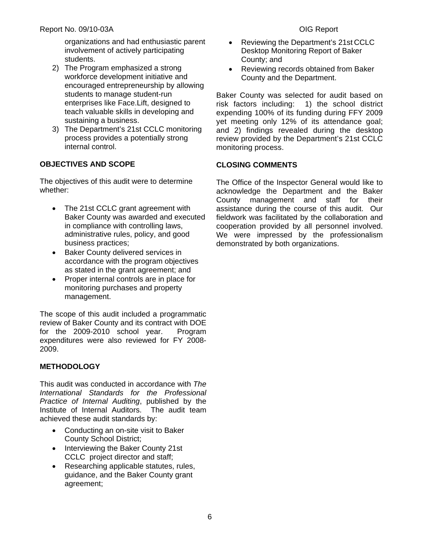organizations and had enthusiastic parent involvement of actively participating students.

- 2) The Program emphasized a strong workforce development initiative and encouraged entrepreneurship by allowing students to manage student-run enterprises like Face.Lift, designed to teach valuable skills in developing and sustaining a business.
- 3) The Department's 21st CCLC monitoring process provides a potentially strong internal control.

### **OBJECTIVES AND SCOPE**

The objectives of this audit were to determine whether:

- business practices; • The 21st CCLC grant agreement with Baker County was awarded and executed in compliance with controlling laws, administrative rules, policy, and good
- Baker County delivered services in accordance with the program objectives as stated in the grant agreement; and
- Proper internal controls are in place for monitoring purchases and property management.

The scope of this audit included a programmatic review of Baker County and its contract with DOE for the 2009-2010 school year. Program expenditures were also reviewed for FY 2008- 2009.

### **METHODOLOGY**

This audit was conducted in accordance with *The International Standards for the Professional Practice of Internal Auditing*, published by the Institute of Internal Auditors. The audit team achieved these audit standards by:

- Conducting an on-site visit to Baker County School District;
- Interviewing the Baker County 21st CCLC project director and staff;
- Researching applicable statutes, rules, guidance, and the Baker County grant agreement;
- County; and Reviewing the Department's 21st CCLC Desktop Monitoring Report of Baker
- Reviewing records obtained from Baker County and the Department.

Baker County was selected for audit based on risk factors including: 1) the school district expending 100% of its funding during FFY 2009 yet meeting only 12% of its attendance goal; and 2) findings revealed during the desktop review provided by the Department's 21st CCLC monitoring process.

### **CLOSING COMMENTS**

demonstrated by both organizations. The Office of the Inspector General would like to acknowledge the Department and the Baker County management and staff for their assistance during the course of this audit. Our fieldwork was facilitated by the collaboration and cooperation provided by all personnel involved. We were impressed by the professionalism demonstrated by both organizations.<br>
6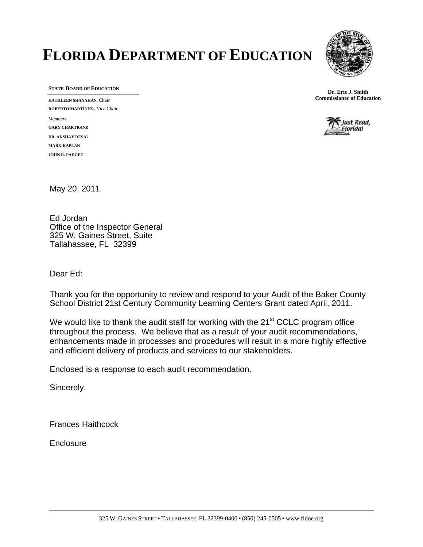# **FLORIDA DEPARTMENT OF EDUCATION**



**KATHLEEN SHANAHAN, Chair ROBERTO MARTÍNEZ**, *Vice Chair Members*  **GARY CHARTRAND DR. AKSHAY DESAI MARK KAPLAN JOHN R. PADGET** 

**STATE BOARD OF EDUCATION**<br> **STATE BOARD OF EDUCATION**<br> **EXECUTED STANDING** Commissioner of Education



May 20, 2011

Ed Jordan Office of the Inspector General 325 W. Gaines Street, Suite Tallahassee, FL 32399

Dear Ed:

Thank you for the opportunity to review and respond to your Audit of the Baker County School District 21st Century Community Learning Centers Grant dated April, 2011.

We would like to thank the audit staff for working with the  $21<sup>st</sup> CCLC$  program office throughout the process. We believe that as a result of your audit recommendations, enhancements made in processes and procedures will result in a more highly effective and efficient delivery of products and services to our stakeholders.

Enclosed is a response to each audit recommendation.

Sincerely,

Frances Haithcock

**Enclosure**